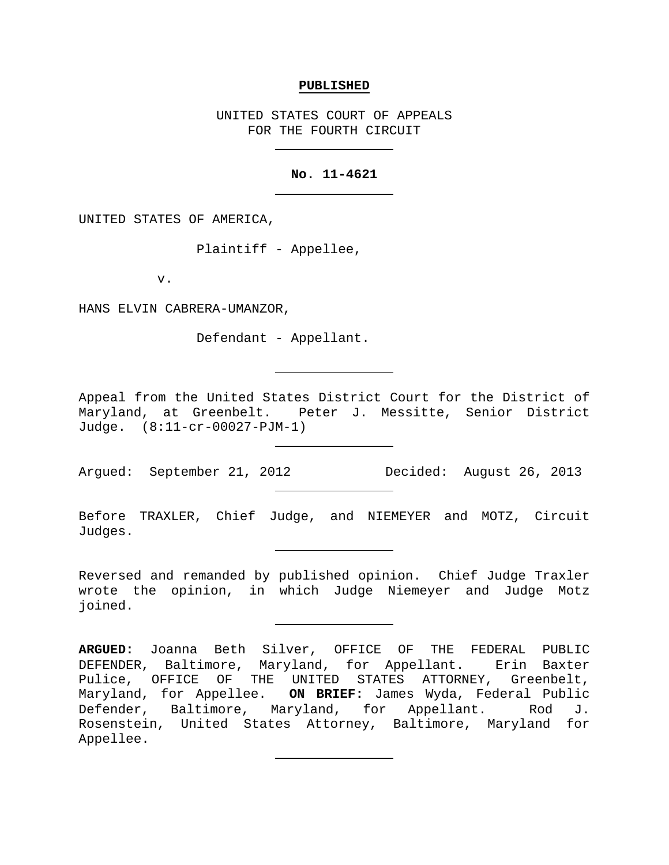### **PUBLISHED**

UNITED STATES COURT OF APPEALS FOR THE FOURTH CIRCUIT

### **No. 11-4621**

UNITED STATES OF AMERICA,

Plaintiff - Appellee,

v.

HANS ELVIN CABRERA-UMANZOR,

Defendant - Appellant.

Appeal from the United States District Court for the District of Maryland, at Greenbelt. Peter J. Messitte, Senior District Judge. (8:11-cr-00027-PJM-1)

Argued: September 21, 2012 Decided: August 26, 2013

Before TRAXLER, Chief Judge, and NIEMEYER and MOTZ, Circuit Judges.

Reversed and remanded by published opinion. Chief Judge Traxler wrote the opinion, in which Judge Niemeyer and Judge Motz joined.

**ARGUED:** Joanna Beth Silver, OFFICE OF THE FEDERAL PUBLIC DEFENDER, Baltimore, Maryland, for Appellant. Erin Baxter Pulice, OFFICE OF THE UNITED STATES ATTORNEY, Greenbelt, Maryland, for Appellee. **ON BRIEF:** James Wyda, Federal Public Defender, Baltimore, Maryland, for Appellant. Rod J. Rosenstein, United States Attorney, Baltimore, Maryland for Appellee.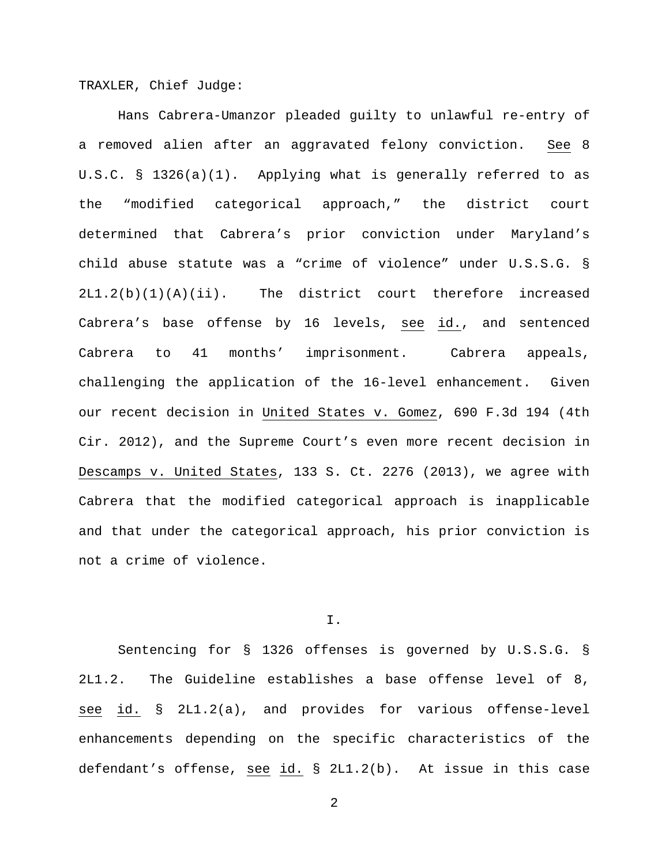TRAXLER, Chief Judge:

Hans Cabrera-Umanzor pleaded guilty to unlawful re-entry of a removed alien after an aggravated felony conviction. See 8 U.S.C. § 1326(a)(1). Applying what is generally referred to as the "modified categorical approach," the district court determined that Cabrera's prior conviction under Maryland's child abuse statute was a "crime of violence" under U.S.S.G. §  $2L1.2(b)(1)(A)(ii)$ . The district court therefore increased Cabrera's base offense by 16 levels, see id., and sentenced Cabrera to 41 months' imprisonment. Cabrera appeals, challenging the application of the 16-level enhancement. Given our recent decision in United States v. Gomez, 690 F.3d 194 (4th Cir. 2012), and the Supreme Court's even more recent decision in Descamps v. United States, 133 S. Ct. 2276 (2013), we agree with Cabrera that the modified categorical approach is inapplicable and that under the categorical approach, his prior conviction is not a crime of violence.

## I.

Sentencing for § 1326 offenses is governed by U.S.S.G. § 2L1.2. The Guideline establishes a base offense level of 8, see id. § 2L1.2(a), and provides for various offense-level enhancements depending on the specific characteristics of the defendant's offense, see id. § 2L1.2(b). At issue in this case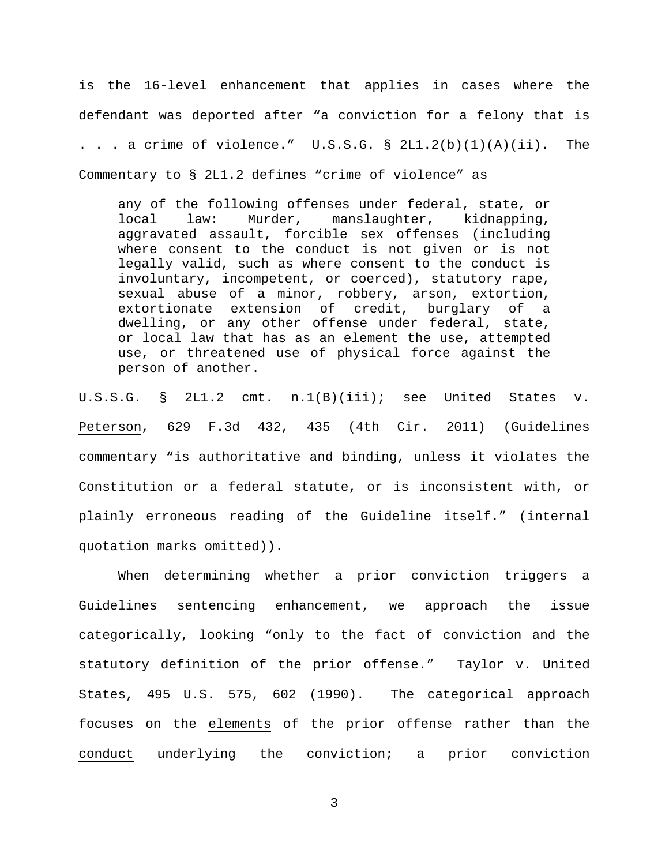is the 16-level enhancement that applies in cases where the defendant was deported after "a conviction for a felony that is . . . a crime of violence."  $U.S.S.G. S 2L1.2(b)(1)(A)(ii)$ . The Commentary to § 2L1.2 defines "crime of violence" as

any of the following offenses under federal, state, or local law: Murder, manslaughter, kidnapping, aggravated assault, forcible sex offenses (including where consent to the conduct is not given or is not legally valid, such as where consent to the conduct is involuntary, incompetent, or coerced), statutory rape, sexual abuse of a minor, robbery, arson, extortion, extortionate extension of credit, burglary of a dwelling, or any other offense under federal, state, or local law that has as an element the use, attempted use, or threatened use of physical force against the person of another.

U.S.S.G. § 2L1.2 cmt. n.1(B)(iii); see United States v. Peterson, 629 F.3d 432, 435 (4th Cir. 2011) (Guidelines commentary "is authoritative and binding, unless it violates the Constitution or a federal statute, or is inconsistent with, or plainly erroneous reading of the Guideline itself." (internal quotation marks omitted)).

When determining whether a prior conviction triggers a Guidelines sentencing enhancement, we approach the issue categorically, looking "only to the fact of conviction and the statutory definition of the prior offense." Taylor v. United States, 495 U.S. 575, 602 (1990). The categorical approach focuses on the elements of the prior offense rather than the conduct underlying the conviction; a prior conviction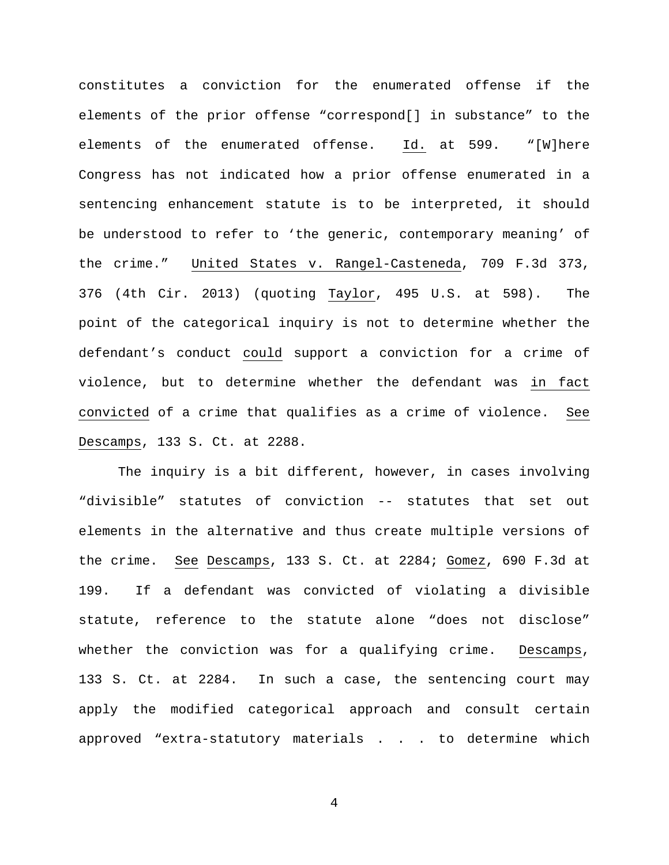constitutes a conviction for the enumerated offense if the elements of the prior offense "correspond[] in substance" to the elements of the enumerated offense. Id. at 599. "[W]here Congress has not indicated how a prior offense enumerated in a sentencing enhancement statute is to be interpreted, it should be understood to refer to 'the generic, contemporary meaning' of the crime." United States v. Rangel-Casteneda, 709 F.3d 373, 376 (4th Cir. 2013) (quoting Taylor, 495 U.S. at 598). The point of the categorical inquiry is not to determine whether the defendant's conduct could support a conviction for a crime of violence, but to determine whether the defendant was in fact convicted of a crime that qualifies as a crime of violence. See Descamps, 133 S. Ct. at 2288.

The inquiry is a bit different, however, in cases involving "divisible" statutes of conviction -- statutes that set out elements in the alternative and thus create multiple versions of the crime. See Descamps, 133 S. Ct. at 2284; Gomez, 690 F.3d at 199. If a defendant was convicted of violating a divisible statute, reference to the statute alone "does not disclose" whether the conviction was for a qualifying crime. Descamps, 133 S. Ct. at 2284. In such a case, the sentencing court may apply the modified categorical approach and consult certain approved "extra-statutory materials . . . to determine which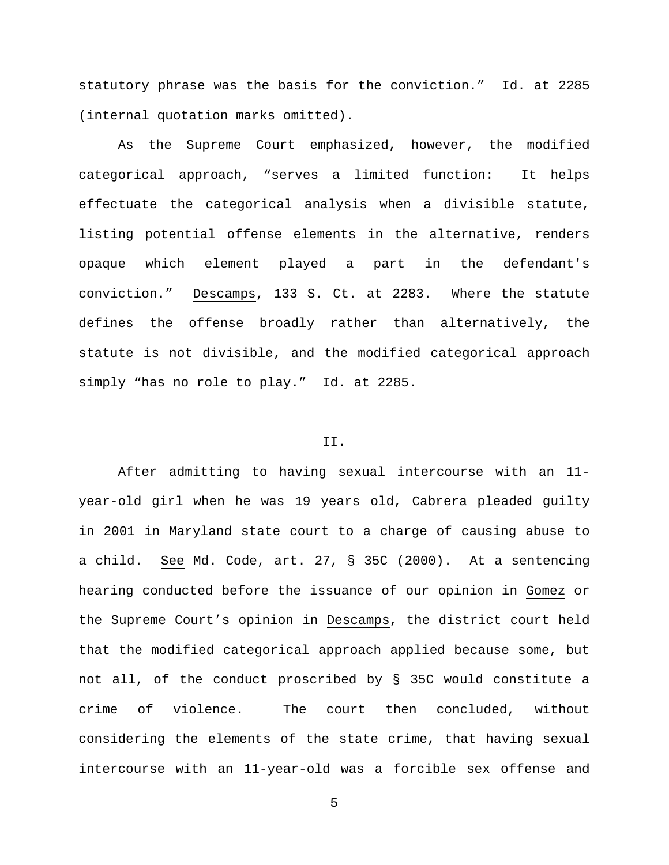statutory phrase was the basis for the conviction." Id. at 2285 (internal quotation marks omitted).

As the Supreme Court emphasized, however, the modified categorical approach, "serves a limited function: It helps effectuate the categorical analysis when a divisible statute, listing potential offense elements in the alternative, renders opaque which element played a part in the defendant's conviction." Descamps, 133 S. Ct. at 2283. Where the statute defines the offense broadly rather than alternatively, the statute is not divisible, and the modified categorical approach simply "has no role to play." Id. at 2285.

### II.

After admitting to having sexual intercourse with an 11 year-old girl when he was 19 years old, Cabrera pleaded guilty in 2001 in Maryland state court to a charge of causing abuse to a child. See Md. Code, art. 27, § 35C (2000). At a sentencing hearing conducted before the issuance of our opinion in Gomez or the Supreme Court's opinion in Descamps, the district court held that the modified categorical approach applied because some, but not all, of the conduct proscribed by § 35C would constitute a crime of violence. The court then concluded, without considering the elements of the state crime, that having sexual intercourse with an 11-year-old was a forcible sex offense and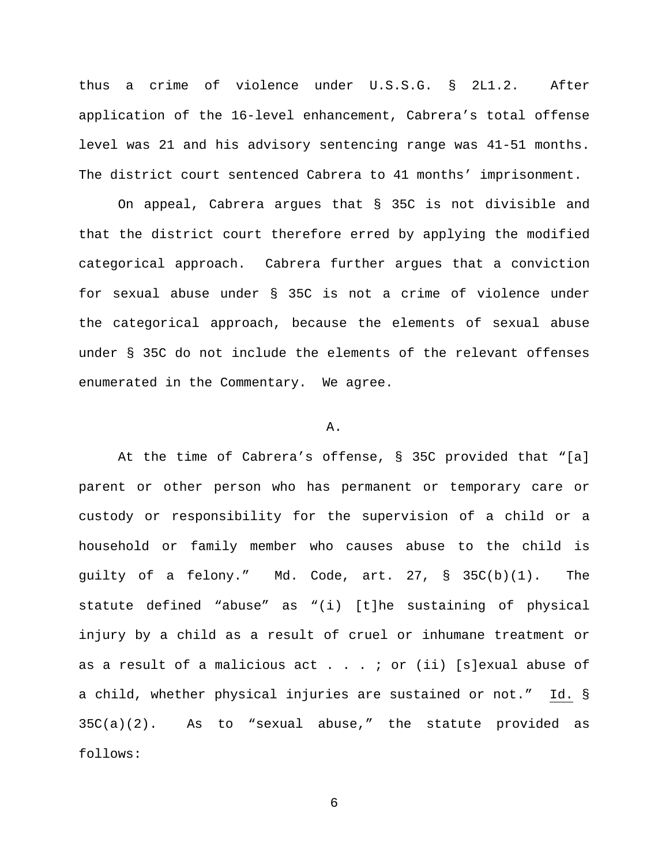thus a crime of violence under U.S.S.G. § 2L1.2. After application of the 16-level enhancement, Cabrera's total offense level was 21 and his advisory sentencing range was 41-51 months. The district court sentenced Cabrera to 41 months' imprisonment.

On appeal, Cabrera argues that § 35C is not divisible and that the district court therefore erred by applying the modified categorical approach. Cabrera further argues that a conviction for sexual abuse under § 35C is not a crime of violence under the categorical approach, because the elements of sexual abuse under § 35C do not include the elements of the relevant offenses enumerated in the Commentary. We agree.

## A.

At the time of Cabrera's offense, § 35C provided that "[a] parent or other person who has permanent or temporary care or custody or responsibility for the supervision of a child or a household or family member who causes abuse to the child is guilty of a felony." Md. Code, art. 27, § 35C(b)(1). The statute defined "abuse" as "(i) [t]he sustaining of physical injury by a child as a result of cruel or inhumane treatment or as a result of a malicious  $act . . . .$  or (ii) [s]exual abuse of a child, whether physical injuries are sustained or not." Id. §  $35C(a)(2)$ . As to "sexual abuse," the statute provided as follows: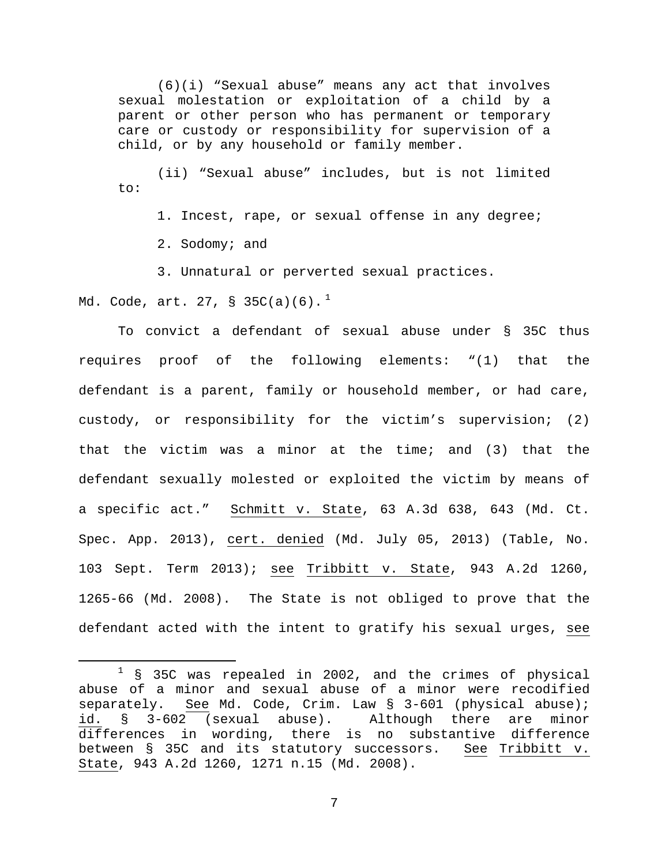(6)(i) "Sexual abuse" means any act that involves sexual molestation or exploitation of a child by a parent or other person who has permanent or temporary care or custody or responsibility for supervision of a child, or by any household or family member.

(ii) "Sexual abuse" includes, but is not limited to:

1. Incest, rape, or sexual offense in any degree;

2. Sodomy; and

3. Unnatural or perverted sexual practices.

Md. Code,  $art. 27, S. 35C(a)(6).$ <sup>[1](#page-6-0)</sup>

To convict a defendant of sexual abuse under § 35C thus requires proof of the following elements: "(1) that the defendant is a parent, family or household member, or had care, custody, or responsibility for the victim's supervision; (2) that the victim was a minor at the time; and (3) that the defendant sexually molested or exploited the victim by means of a specific act." Schmitt v. State, 63 A.3d 638, 643 (Md. Ct. Spec. App. 2013), cert. denied (Md. July 05, 2013) (Table, No. 103 Sept. Term 2013); see Tribbitt v. State, 943 A.2d 1260, 1265-66 (Md. 2008). The State is not obliged to prove that the defendant acted with the intent to gratify his sexual urges, see

<span id="page-6-0"></span> $1$  § 35C was repealed in 2002, and the crimes of physical abuse of a minor and sexual abuse of a minor were recodified<br>separately. See Md. Code, Crim. Law § 3-601 (physical abuse); See Md. Code, Crim. Law § 3-601 (physical abuse); id. § 3-602 (sexual abuse). Although there are minor differences in wording, there is no substantive difference between § 35C and its statutory successors. See Tribbitt v. State, 943 A.2d 1260, 1271 n.15 (Md. 2008).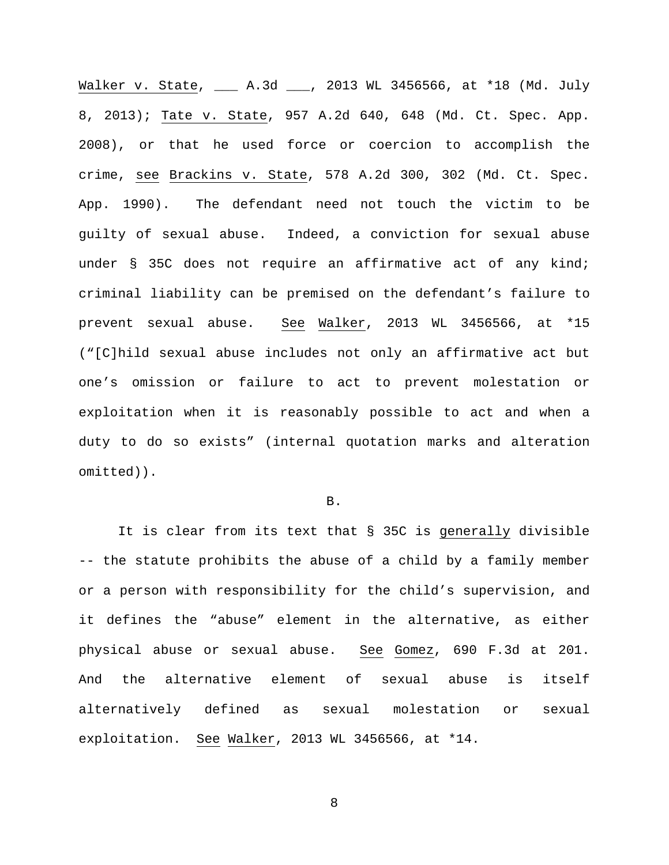Walker v. State, \_\_\_ A.3d \_\_\_, 2013 WL 3456566, at \*18 (Md. July 8, 2013); Tate v. State, 957 A.2d 640, 648 (Md. Ct. Spec. App. 2008), or that he used force or coercion to accomplish the crime, see Brackins v. State, 578 A.2d 300, 302 (Md. Ct. Spec. App. 1990). The defendant need not touch the victim to be guilty of sexual abuse. Indeed, a conviction for sexual abuse under § 35C does not require an affirmative act of any kind; criminal liability can be premised on the defendant's failure to prevent sexual abuse. See Walker, 2013 WL 3456566, at \*15 ("[C]hild sexual abuse includes not only an affirmative act but one's omission or failure to act to prevent molestation or exploitation when it is reasonably possible to act and when a duty to do so exists" (internal quotation marks and alteration omitted)).

#### B.

It is clear from its text that § 35C is generally divisible -- the statute prohibits the abuse of a child by a family member or a person with responsibility for the child's supervision, and it defines the "abuse" element in the alternative, as either physical abuse or sexual abuse. See Gomez, 690 F.3d at 201. And the alternative element of sexual abuse is itself alternatively defined as sexual molestation or sexual exploitation. See Walker, 2013 WL 3456566, at \*14.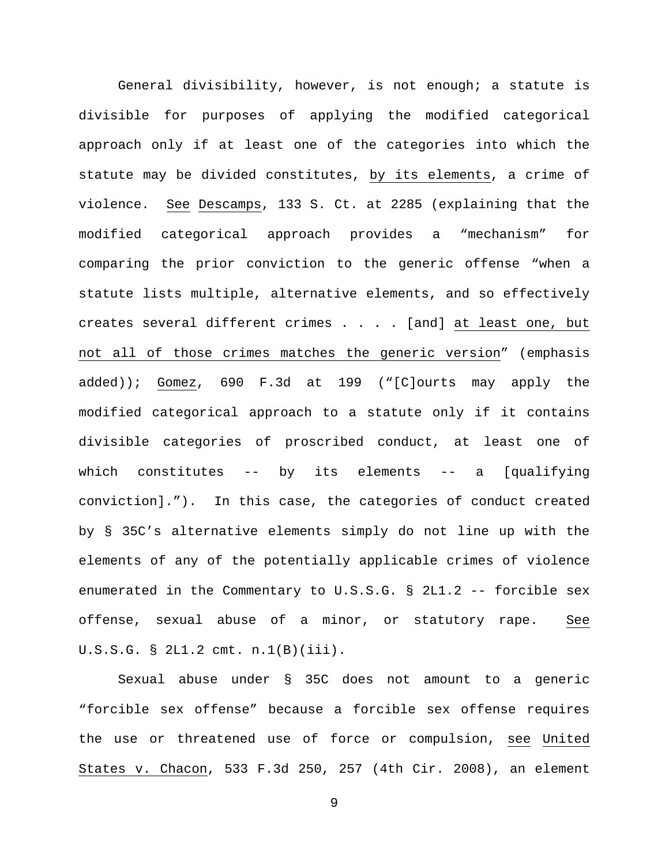General divisibility, however, is not enough; a statute is divisible for purposes of applying the modified categorical approach only if at least one of the categories into which the statute may be divided constitutes, by its elements, a crime of violence. See Descamps, 133 S. Ct. at 2285 (explaining that the modified categorical approach provides a "mechanism" for comparing the prior conviction to the generic offense "when a statute lists multiple, alternative elements, and so effectively creates several different crimes . . . . [and] at least one, but not all of those crimes matches the generic version" (emphasis added)); Gomez, 690 F.3d at 199 ("[C]ourts may apply the modified categorical approach to a statute only if it contains divisible categories of proscribed conduct, at least one of which constitutes -- by its elements -- a [qualifying conviction]."). In this case, the categories of conduct created by § 35C's alternative elements simply do not line up with the elements of any of the potentially applicable crimes of violence enumerated in the Commentary to U.S.S.G. § 2L1.2 -- forcible sex offense, sexual abuse of a minor, or statutory rape. See U.S.S.G. § 2L1.2 cmt. n.1(B)(iii).

Sexual abuse under § 35C does not amount to a generic "forcible sex offense" because a forcible sex offense requires the use or threatened use of force or compulsion, see United States v. Chacon, 533 F.3d 250, 257 (4th Cir. 2008), an element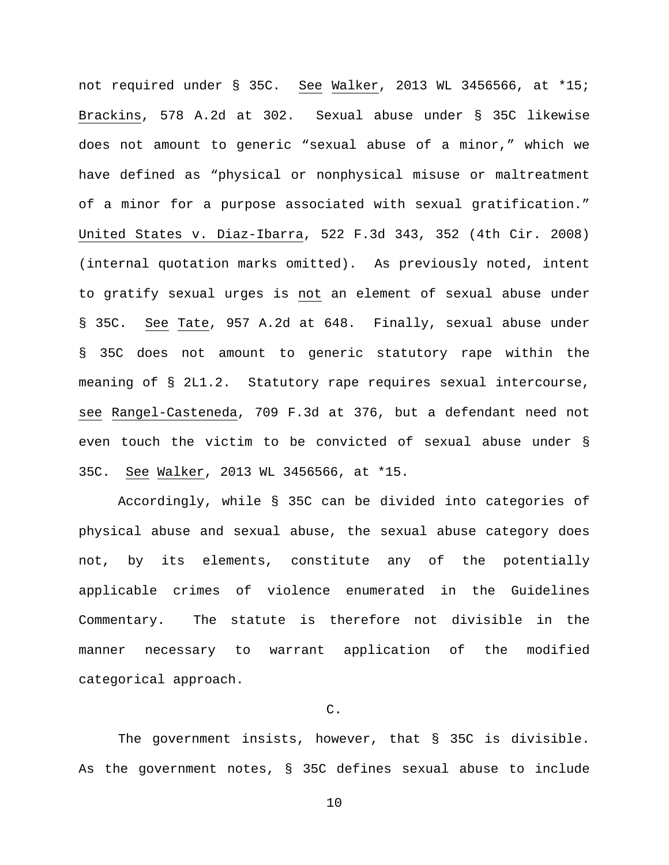not required under § 35C. See Walker, 2013 WL 3456566, at \*15; Brackins, 578 A.2d at 302. Sexual abuse under § 35C likewise does not amount to generic "sexual abuse of a minor," which we have defined as "physical or nonphysical misuse or maltreatment of a minor for a purpose associated with sexual gratification." United States v. Diaz-Ibarra, 522 F.3d 343, 352 (4th Cir. 2008) (internal quotation marks omitted). As previously noted, intent to gratify sexual urges is not an element of sexual abuse under § 35C. See Tate, 957 A.2d at 648. Finally, sexual abuse under § 35C does not amount to generic statutory rape within the meaning of § 2L1.2. Statutory rape requires sexual intercourse, see Rangel-Casteneda, 709 F.3d at 376, but a defendant need not even touch the victim to be convicted of sexual abuse under § 35C. See Walker, 2013 WL 3456566, at \*15.

Accordingly, while § 35C can be divided into categories of physical abuse and sexual abuse, the sexual abuse category does not, by its elements, constitute any of the potentially applicable crimes of violence enumerated in the Guidelines Commentary. The statute is therefore not divisible in the manner necessary to warrant application of the modified categorical approach.

C.

The government insists, however, that § 35C is divisible. As the government notes, § 35C defines sexual abuse to include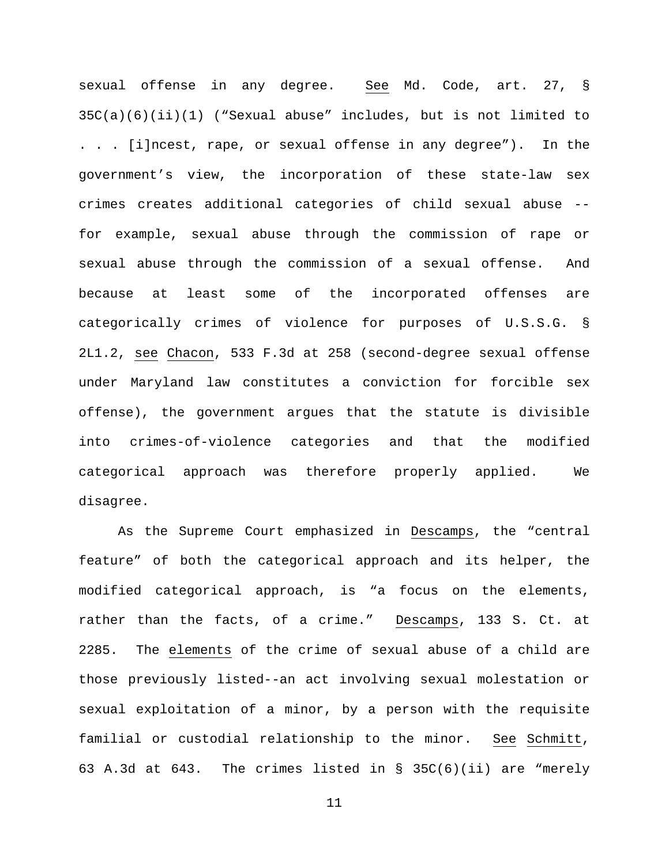sexual offense in any degree. See Md. Code, art. 27, § 35C(a)(6)(ii)(1) ("Sexual abuse" includes, but is not limited to . . . [i]ncest, rape, or sexual offense in any degree"). In the government's view, the incorporation of these state-law sex crimes creates additional categories of child sexual abuse - for example, sexual abuse through the commission of rape or sexual abuse through the commission of a sexual offense. And because at least some of the incorporated offenses are categorically crimes of violence for purposes of U.S.S.G. § 2L1.2, see Chacon, 533 F.3d at 258 (second-degree sexual offense under Maryland law constitutes a conviction for forcible sex offense), the government argues that the statute is divisible into crimes-of-violence categories and that the modified categorical approach was therefore properly applied. We disagree.

As the Supreme Court emphasized in Descamps, the "central feature" of both the categorical approach and its helper, the modified categorical approach, is "a focus on the elements, rather than the facts, of a crime." Descamps, 133 S. Ct. at 2285. The elements of the crime of sexual abuse of a child are those previously listed--an act involving sexual molestation or sexual exploitation of a minor, by a person with the requisite familial or custodial relationship to the minor. See Schmitt, 63 A.3d at 643. The crimes listed in § 35C(6)(ii) are "merely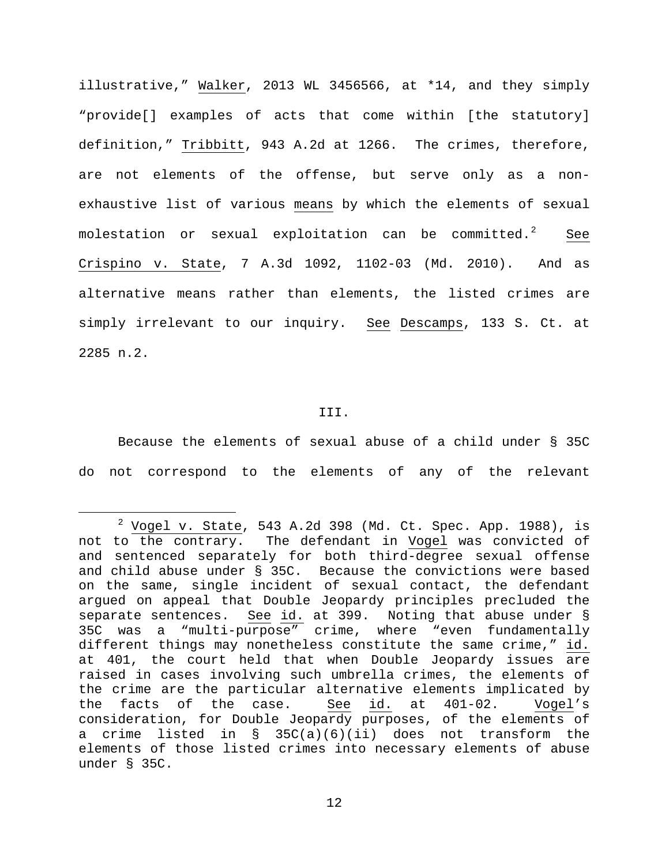illustrative," Walker, 2013 WL 3456566, at \*14, and they simply "provide[] examples of acts that come within [the statutory] definition," Tribbitt, 943 A.2d at 1266. The crimes, therefore, are not elements of the offense, but serve only as a nonexhaustive list of various means by which the elements of sexual molestation or sexual exploitation can be committed.<sup>[2](#page-11-0)</sup> See Crispino v. State, 7 A.3d 1092, 1102-03 (Md. 2010). And as alternative means rather than elements, the listed crimes are simply irrelevant to our inquiry. See Descamps, 133 S. Ct. at 2285 n.2.

#### III.

Because the elements of sexual abuse of a child under § 35C do not correspond to the elements of any of the relevant

<span id="page-11-0"></span> $2 \text{ Vogel v. State}$ , 543 A.2d 398 (Md. Ct. Spec. App. 1988), is not to the contrary. The defendant in Vogel was convicted of and sentenced separately for both third-degree sexual offense and child abuse under § 35C. Because the convictions were based on the same, single incident of sexual contact, the defendant argued on appeal that Double Jeopardy principles precluded the separate sentences. See id. at 399. Noting that abuse under § 35C was a "multi-purpose" crime, where "even fundamentally different things may nonetheless constitute the same crime," id. at 401, the court held that when Double Jeopardy issues are raised in cases involving such umbrella crimes, the elements of the crime are the particular alternative elements implicated by<br>the facts of the case. See id. at 401-02. Vogel's the facts of the case. See id. at 401-02. Vogel's consideration, for Double Jeopardy purposes, of the elements of a crime listed in § 35C(a)(6)(ii) does not transform the elements of those listed crimes into necessary elements of abuse under § 35C.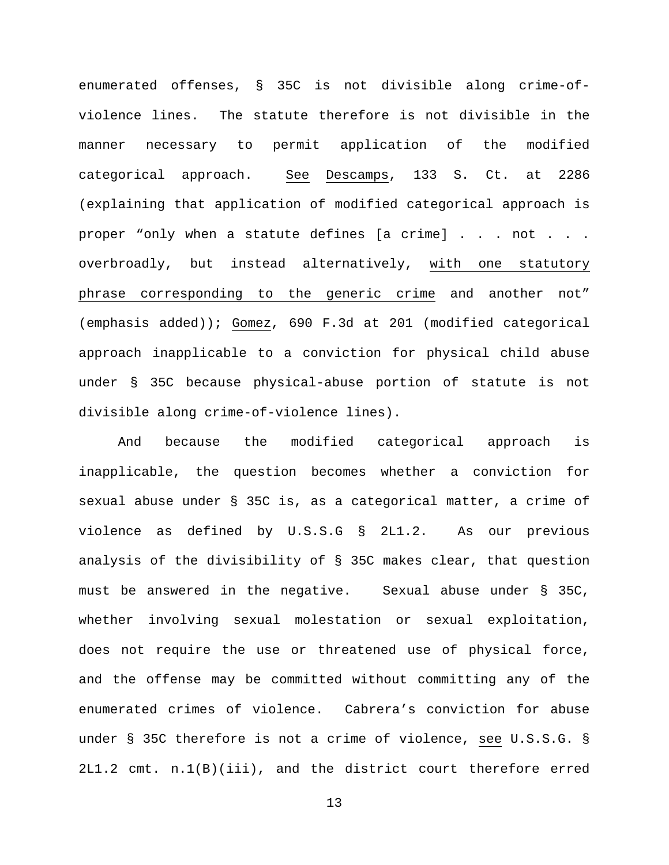enumerated offenses, § 35C is not divisible along crime-ofviolence lines. The statute therefore is not divisible in the manner necessary to permit application of the modified categorical approach. See Descamps, 133 S. Ct. at 2286 (explaining that application of modified categorical approach is proper "only when a statute defines [a crime] . . . not . . . overbroadly, but instead alternatively, with one statutory phrase corresponding to the generic crime and another not" (emphasis added)); Gomez, 690 F.3d at 201 (modified categorical approach inapplicable to a conviction for physical child abuse under § 35C because physical-abuse portion of statute is not divisible along crime-of-violence lines).

And because the modified categorical approach is inapplicable, the question becomes whether a conviction for sexual abuse under § 35C is, as a categorical matter, a crime of violence as defined by U.S.S.G § 2L1.2. As our previous analysis of the divisibility of § 35C makes clear, that question must be answered in the negative. Sexual abuse under § 35C, whether involving sexual molestation or sexual exploitation, does not require the use or threatened use of physical force, and the offense may be committed without committing any of the enumerated crimes of violence. Cabrera's conviction for abuse under § 35C therefore is not a crime of violence, see U.S.S.G. § 2L1.2 cmt. n.1(B)(iii), and the district court therefore erred